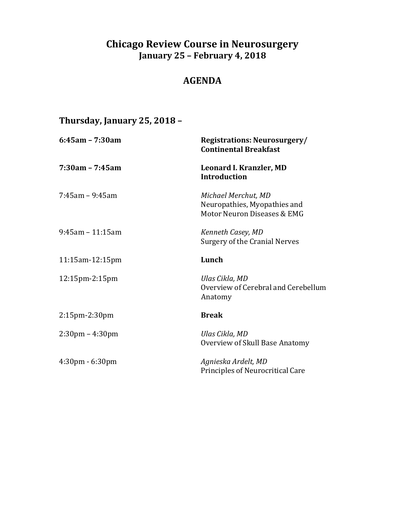### **Chicago Review Course in Neurosurgery January 25 – February 4, 2018**

### **AGENDA**

### **Thursday, January 25, 2018 –**

| 6:45am – 7:30am                   | <b>Registrations: Neurosurgery/</b><br><b>Continental Breakfast</b>                |
|-----------------------------------|------------------------------------------------------------------------------------|
| 7:30am – 7:45am                   | Leonard I. Kranzler, MD<br><b>Introduction</b>                                     |
| 7:45am - 9:45am                   | Michael Merchut, MD<br>Neuropathies, Myopathies and<br>Motor Neuron Diseases & EMG |
| 9:45am - 11:15am                  | Kenneth Casey, MD<br><b>Surgery of the Cranial Nerves</b>                          |
| 11:15am-12:15pm                   | Lunch                                                                              |
| 12:15pm-2:15pm                    | Ulas Cikla, MD<br>Overview of Cerebral and Cerebellum<br>Anatomy                   |
| 2:15pm-2:30pm                     | <b>Break</b>                                                                       |
| $2:30 \text{pm} - 4:30 \text{pm}$ | Ulas Cikla, MD<br>Overview of Skull Base Anatomy                                   |
| 4:30pm - 6:30pm                   | Agnieska Ardelt, MD<br>Principles of Neurocritical Care                            |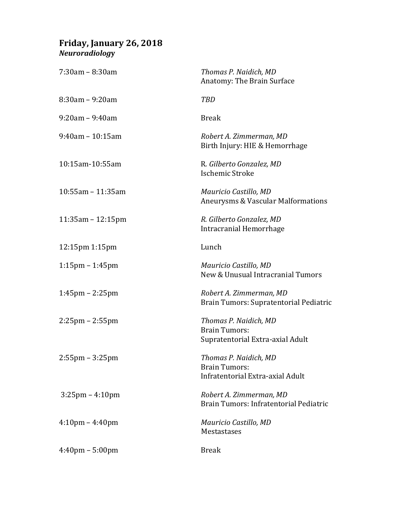#### **Friday, January 26, 2018** *Neuroradiolog***y**

| 7:30am - 8:30am                   | Thomas P. Naidich, MD<br>Anatomy: The Brain Surface                               |
|-----------------------------------|-----------------------------------------------------------------------------------|
| 8:30am - 9:20am                   | <b>TBD</b>                                                                        |
| 9:20am – 9:40am                   | <b>Break</b>                                                                      |
| $9:40$ am - $10:15$ am            | Robert A. Zimmerman, MD<br>Birth Injury: HIE & Hemorrhage                         |
| 10:15am-10:55am                   | R. Gilberto Gonzalez, MD<br><b>Ischemic Stroke</b>                                |
| $10:55$ am - 11:35am              | Mauricio Castillo, MD<br><b>Aneurysms &amp; Vascular Malformations</b>            |
| 11:35am - 12:15pm                 | R. Gilberto Gonzalez, MD<br>Intracranial Hemorrhage                               |
| 12:15pm 1:15pm                    | Lunch                                                                             |
| $1:15$ pm – $1:45$ pm             | Mauricio Castillo, MD<br>New & Unusual Intracranial Tumors                        |
| $1:45$ pm – $2:25$ pm             | Robert A. Zimmerman, MD<br>Brain Tumors: Supratentorial Pediatric                 |
| $2:25$ pm – $2:55$ pm             | Thomas P. Naidich, MD<br><b>Brain Tumors:</b><br>Supratentorial Extra-axial Adult |
| 2:55pm – 3:25pm                   | Thomas P. Naidich, MD<br><b>Brain Tumors:</b><br>Infratentorial Extra-axial Adult |
| $3:25$ pm $-4:10$ pm              | Robert A. Zimmerman, MD<br>Brain Tumors: Infratentorial Pediatric                 |
| $4:10 \text{pm} - 4:40 \text{pm}$ | Mauricio Castillo, MD<br>Mestastases                                              |
| 4:40pm – 5:00pm                   | <b>Break</b>                                                                      |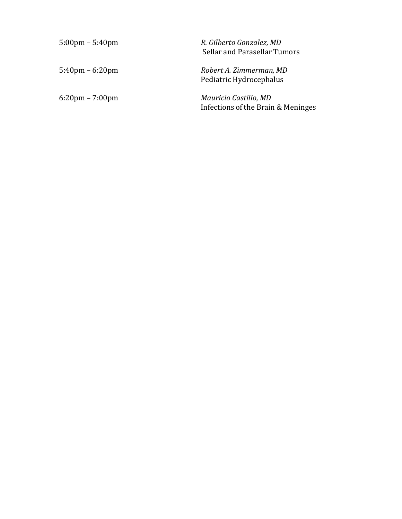| $5:00 \text{pm} - 5:40 \text{pm}$ | R. Gilberto Gonzalez, MD<br>Sellar and Parasellar Tumors    |
|-----------------------------------|-------------------------------------------------------------|
| $5:40 \text{pm} - 6:20 \text{pm}$ | Robert A. Zimmerman, MD<br>Pediatric Hydrocephalus          |
| $6:20 \text{pm} - 7:00 \text{pm}$ | Mauricio Castillo, MD<br>Infections of the Brain & Meninges |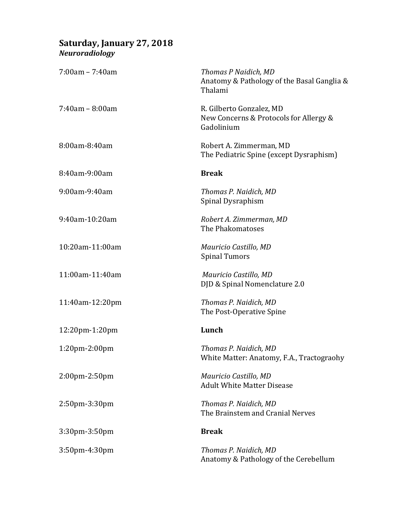#### **Saturday, January 27, 2018** *Neuroradiology*

| 7:00am - 7:40am      | Thomas P Naidich, MD<br>Anatomy & Pathology of the Basal Ganglia &<br>Thalami    |
|----------------------|----------------------------------------------------------------------------------|
| $7:40am - 8:00am$    | R. Gilberto Gonzalez, MD<br>New Concerns & Protocols for Allergy &<br>Gadolinium |
| 8:00am-8:40am        | Robert A. Zimmerman, MD<br>The Pediatric Spine (except Dysraphism)               |
| 8:40am-9:00am        | <b>Break</b>                                                                     |
| 9:00am-9:40am        | Thomas P. Naidich, MD<br>Spinal Dysraphism                                       |
| 9:40am-10:20am       | Robert A. Zimmerman, MD<br>The Phakomatoses                                      |
| 10:20am-11:00am      | Mauricio Castillo, MD<br><b>Spinal Tumors</b>                                    |
| 11:00am-11:40am      | Mauricio Castillo, MD<br>DJD & Spinal Nomenclature 2.0                           |
| 11:40am-12:20pm      | Thomas P. Naidich, MD<br>The Post-Operative Spine                                |
| 12:20pm-1:20pm       | Lunch                                                                            |
| $1:20$ pm $-2:00$ pm | Thomas P. Naidich, MD<br>White Matter: Anatomy, F.A., Tractograohy               |
| 2:00pm-2:50pm        | Mauricio Castillo, MD<br><b>Adult White Matter Disease</b>                       |
| 2:50pm-3:30pm        | Thomas P. Naidich, MD<br>The Brainstem and Cranial Nerves                        |
| 3:30pm-3:50pm        | <b>Break</b>                                                                     |
| 3:50pm-4:30pm        | Thomas P. Naidich, MD<br>Anatomy & Pathology of the Cerebellum                   |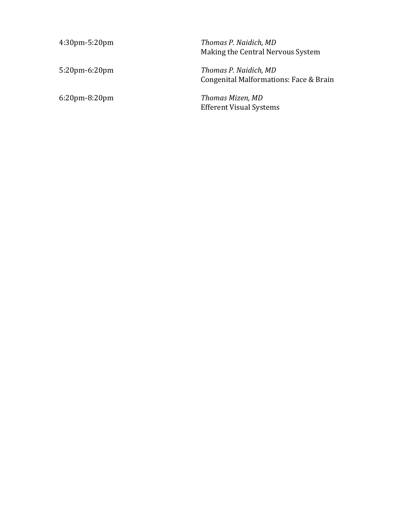| $4:30 \text{pm} - 5:20 \text{pm}$ | Thomas P. Naidich, MD<br>Making the Central Nervous System      |
|-----------------------------------|-----------------------------------------------------------------|
| $5:20$ pm $-6:20$ pm              | Thomas P. Naidich, MD<br>Congenital Malformations: Face & Brain |
| $6:20$ pm $-8:20$ pm              | Thomas Mizen, MD<br><b>Efferent Visual Systems</b>              |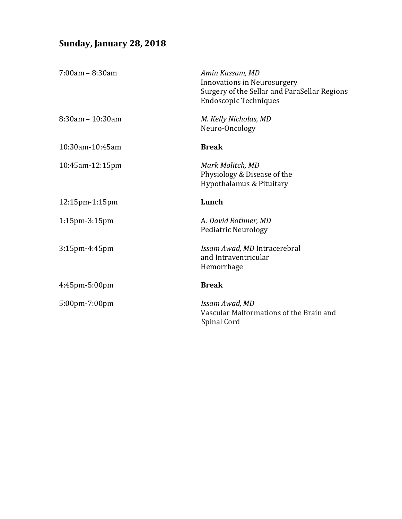## **Sunday, January 28, 2018**

| 7:00am - 8:30am      | Amin Kassam, MD<br><b>Innovations in Neurosurgery</b><br>Surgery of the Sellar and ParaSellar Regions<br><b>Endoscopic Techniques</b> |
|----------------------|---------------------------------------------------------------------------------------------------------------------------------------|
| 8:30am - 10:30am     | M. Kelly Nicholas, MD<br>Neuro-Oncology                                                                                               |
| 10:30am-10:45am      | <b>Break</b>                                                                                                                          |
| 10:45am-12:15pm      | Mark Molitch, MD<br>Physiology & Disease of the<br>Hypothalamus & Pituitary                                                           |
| 12:15pm-1:15pm       | Lunch                                                                                                                                 |
| $1:15$ pm $-3:15$ pm | A. David Rothner, MD<br><b>Pediatric Neurology</b>                                                                                    |
| 3:15pm-4:45pm        | Issam Awad, MD Intracerebral<br>and Intraventricular<br>Hemorrhage                                                                    |
| 4:45pm-5:00pm        | <b>Break</b>                                                                                                                          |
| 5:00pm-7:00pm        | Issam Awad, MD<br>Vascular Malformations of the Brain and<br>Spinal Cord                                                              |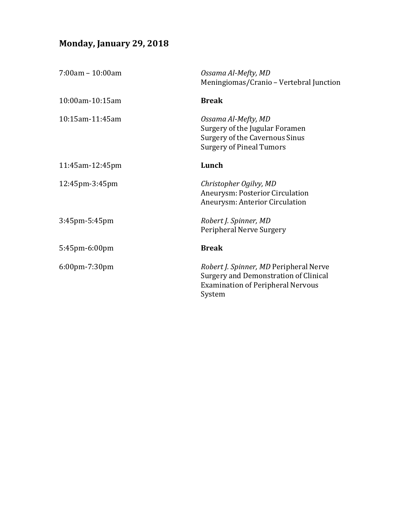# **Monday, January 29, 2018**

| 7:00am - 10:00am | Ossama Al-Mefty, MD<br>Meningiomas/Cranio - Vertebral Junction                                                                        |
|------------------|---------------------------------------------------------------------------------------------------------------------------------------|
| 10:00am-10:15am  | <b>Break</b>                                                                                                                          |
| 10:15am-11:45am  | Ossama Al-Mefty, MD<br>Surgery of the Jugular Foramen<br><b>Surgery of the Cavernous Sinus</b><br><b>Surgery of Pineal Tumors</b>     |
| 11:45am-12:45pm  | Lunch                                                                                                                                 |
| 12:45pm-3:45pm   | Christopher Ogilvy, MD<br>Aneurysm: Posterior Circulation<br>Aneurysm: Anterior Circulation                                           |
| 3:45pm-5:45pm    | Robert J. Spinner, MD<br>Peripheral Nerve Surgery                                                                                     |
| 5:45pm-6:00pm    | <b>Break</b>                                                                                                                          |
| 6:00pm-7:30pm    | Robert J. Spinner, MD Peripheral Nerve<br>Surgery and Demonstration of Clinical<br><b>Examination of Peripheral Nervous</b><br>System |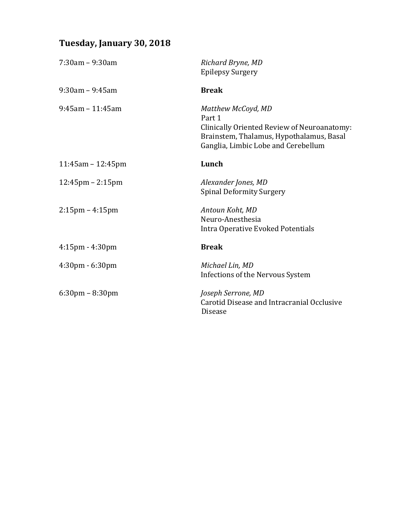## **Tuesday, January 30, 2018**

| 7:30am - 9:30am                   | Richard Bryne, MD<br><b>Epilepsy Surgery</b>                                                                                                                   |
|-----------------------------------|----------------------------------------------------------------------------------------------------------------------------------------------------------------|
| $9:30$ am – $9:45$ am             | <b>Break</b>                                                                                                                                                   |
| 9:45am - 11:45am                  | Matthew McCoyd, MD<br>Part 1<br>Clinically Oriented Review of Neuroanatomy:<br>Brainstem, Thalamus, Hypothalamus, Basal<br>Ganglia, Limbic Lobe and Cerebellum |
| 11:45am - 12:45pm                 | Lunch                                                                                                                                                          |
| $12:45$ pm – $2:15$ pm            | Alexander Jones, MD<br><b>Spinal Deformity Surgery</b>                                                                                                         |
| $2:15$ pm – $4:15$ pm             | Antoun Koht, MD<br>Neuro-Anesthesia<br>Intra Operative Evoked Potentials                                                                                       |
| 4:15pm - 4:30pm                   | <b>Break</b>                                                                                                                                                   |
| 4:30pm - 6:30pm                   | Michael Lin, MD<br>Infections of the Nervous System                                                                                                            |
| $6:30 \text{pm} - 8:30 \text{pm}$ | Joseph Serrone, MD<br>Carotid Disease and Intracranial Occlusive<br><b>Disease</b>                                                                             |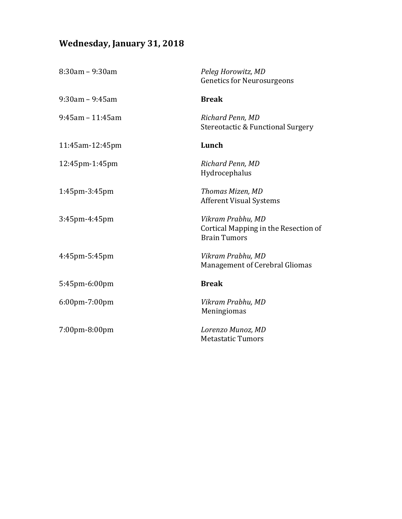# **Wednesday, January 31, 2018**

| 8:30am – 9:30am       | Peleg Horowitz, MD<br><b>Genetics for Neurosurgeons</b>                          |
|-----------------------|----------------------------------------------------------------------------------|
| $9:30$ am – $9:45$ am | <b>Break</b>                                                                     |
| 9:45am - 11:45am      | Richard Penn, MD<br><b>Stereotactic &amp; Functional Surgery</b>                 |
| 11:45am-12:45pm       | Lunch                                                                            |
| 12:45pm-1:45pm        | Richard Penn, MD<br>Hydrocephalus                                                |
| 1:45pm-3:45pm         | Thomas Mizen, MD<br><b>Afferent Visual Systems</b>                               |
| 3:45pm-4:45pm         | Vikram Prabhu, MD<br>Cortical Mapping in the Resection of<br><b>Brain Tumors</b> |
| 4:45pm-5:45pm         | Vikram Prabhu, MD<br>Management of Cerebral Gliomas                              |
| 5:45pm-6:00pm         | <b>Break</b>                                                                     |
| 6:00pm-7:00pm         | Vikram Prabhu, MD<br>Meningiomas                                                 |
| 7:00pm-8:00pm         | Lorenzo Munoz, MD<br><b>Metastatic Tumors</b>                                    |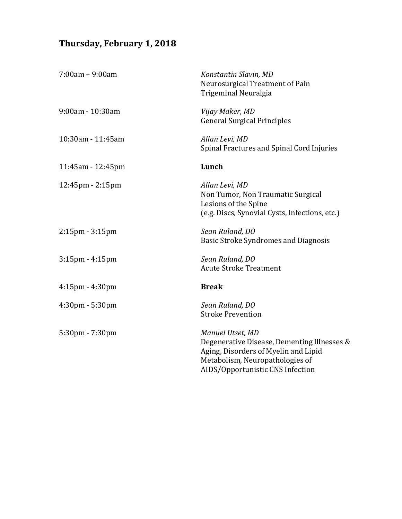# **Thursday, February 1, 2018**

| 7:00am - 9:00am       | Konstantin Slavin, MD<br>Neurosurgical Treatment of Pain<br>Trigeminal Neuralgia                                                                                               |
|-----------------------|--------------------------------------------------------------------------------------------------------------------------------------------------------------------------------|
| 9:00am - 10:30am      | Vijay Maker, MD<br><b>General Surgical Principles</b>                                                                                                                          |
| 10:30am - 11:45am     | Allan Levi, MD<br>Spinal Fractures and Spinal Cord Injuries                                                                                                                    |
| 11:45am - 12:45pm     | Lunch                                                                                                                                                                          |
| 12:45pm - 2:15pm      | Allan Levi, MD<br>Non Tumor, Non Traumatic Surgical<br>Lesions of the Spine<br>(e.g. Discs, Synovial Cysts, Infections, etc.)                                                  |
| 2:15pm - 3:15pm       | Sean Ruland, DO<br><b>Basic Stroke Syndromes and Diagnosis</b>                                                                                                                 |
| $3:15$ pm - $4:15$ pm | Sean Ruland, DO<br><b>Acute Stroke Treatment</b>                                                                                                                               |
| 4:15pm - 4:30pm       | <b>Break</b>                                                                                                                                                                   |
| 4:30pm - 5:30pm       | Sean Ruland, DO<br><b>Stroke Prevention</b>                                                                                                                                    |
| 5:30pm - 7:30pm       | Manuel Utset, MD<br>Degenerative Disease, Dementing Illnesses &<br>Aging, Disorders of Myelin and Lipid<br>Metabolism, Neuropathologies of<br>AIDS/Opportunistic CNS Infection |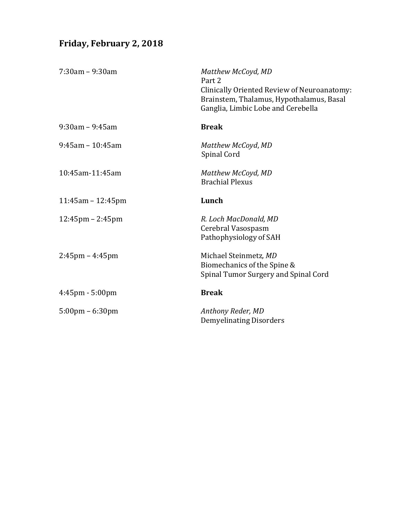## **Friday, February 2, 2018**

| 7:30am - 9:30am                    | Matthew McCoyd, MD<br>Part 2<br>Clinically Oriented Review of Neuroanatomy:<br>Brainstem, Thalamus, Hypothalamus, Basal<br>Ganglia, Limbic Lobe and Cerebella |
|------------------------------------|---------------------------------------------------------------------------------------------------------------------------------------------------------------|
| 9:30am - 9:45am                    | <b>Break</b>                                                                                                                                                  |
| 9:45am - 10:45am                   | Matthew McCoyd, MD<br>Spinal Cord                                                                                                                             |
| 10:45am-11:45am                    | Matthew McCoyd, MD<br><b>Brachial Plexus</b>                                                                                                                  |
| $11:45$ am – $12:45$ pm            | Lunch                                                                                                                                                         |
| $12:45 \text{pm} - 2:45 \text{pm}$ | R. Loch MacDonald, MD<br>Cerebral Vasospasm<br>Pathophysiology of SAH                                                                                         |
| 2:45pm - 4:45pm                    | Michael Steinmetz, MD<br>Biomechanics of the Spine &<br>Spinal Tumor Surgery and Spinal Cord                                                                  |
| 4:45pm - 5:00pm                    | <b>Break</b>                                                                                                                                                  |
| 5:00pm – 6:30pm                    | Anthony Reder, MD<br><b>Demyelinating Disorders</b>                                                                                                           |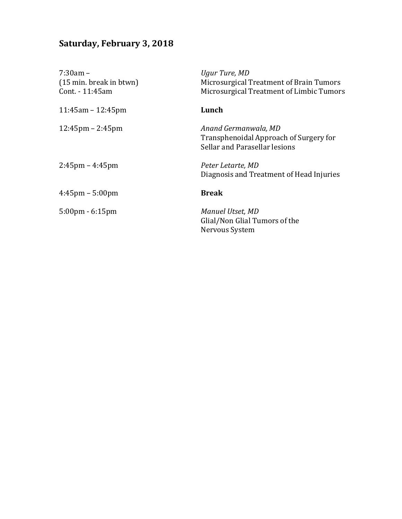# **Saturday, February 3, 2018**

| 7:30am –<br>$(15 \text{ min. break in btwn})$<br>Cont. - 11:45am | Ugur Ture, MD<br>Microsurgical Treatment of Brain Tumors<br>Microsurgical Treatment of Limbic Tumors |
|------------------------------------------------------------------|------------------------------------------------------------------------------------------------------|
| $11:45am - 12:45pm$                                              | Lunch                                                                                                |
| $12:45$ pm – $2:45$ pm                                           | Anand Germanwala, MD<br>Transphenoidal Approach of Surgery for<br>Sellar and Parasellar lesions      |
| 2:45pm – 4:45pm                                                  | Peter Letarte, MD<br>Diagnosis and Treatment of Head Injuries                                        |
| 4:45pm - 5:00pm                                                  | <b>Break</b>                                                                                         |
| 5:00pm - 6:15pm                                                  | Manuel Utset, MD<br>Glial/Non Glial Tumors of the<br>Nervous System                                  |